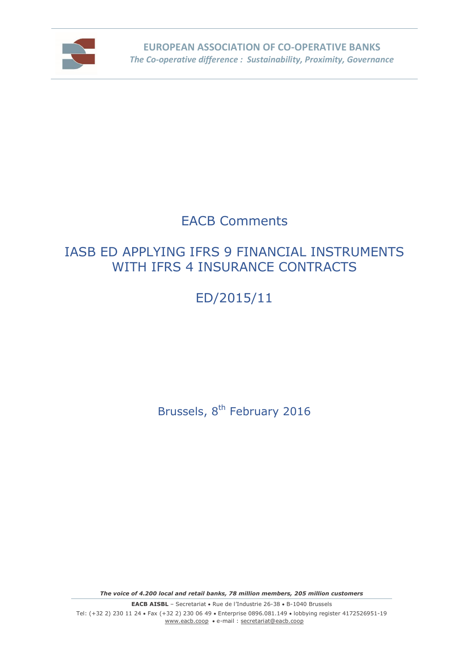

# EACB Comments

# IASB ED APPLYING IFRS 9 FINANCIAL INSTRUMENTS WITH IFRS 4 INSURANCE CONTRACTS

# ED/2015/11

Brussels, 8<sup>th</sup> February 2016

*The voice of 4.200 local and retail banks, 78 million members, 205 million customers*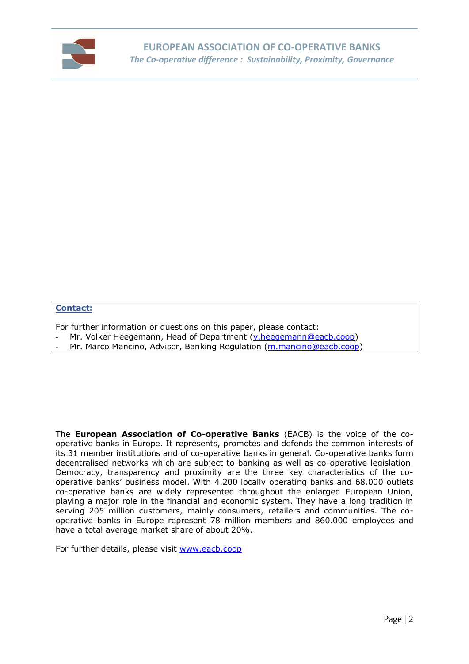

#### **Contact:**

For further information or questions on this paper, please contact:

- Mr. Volker Heegemann, Head of Department [\(v.heegemann@eacb.coop\)](mailto:v.heegemann@eacb.coop)
- Mr. Marco Mancino, Adviser, Banking Regulation [\(m.mancino@eacb.coop\)](mailto:m.mancino@eacb.coop)

The **European Association of Co-operative Banks** (EACB) is the voice of the cooperative banks in Europe. It represents, promotes and defends the common interests of its 31 member institutions and of co-operative banks in general. Co-operative banks form decentralised networks which are subject to banking as well as co-operative legislation. Democracy, transparency and proximity are the three key characteristics of the cooperative banks' business model. With 4.200 locally operating banks and 68.000 outlets co-operative banks are widely represented throughout the enlarged European Union, playing a major role in the financial and economic system. They have a long tradition in serving 205 million customers, mainly consumers, retailers and communities. The cooperative banks in Europe represent 78 million members and 860.000 employees and have a total average market share of about 20%.

For further details, please visit [www.eacb.coop](http://www.eacb.coop/)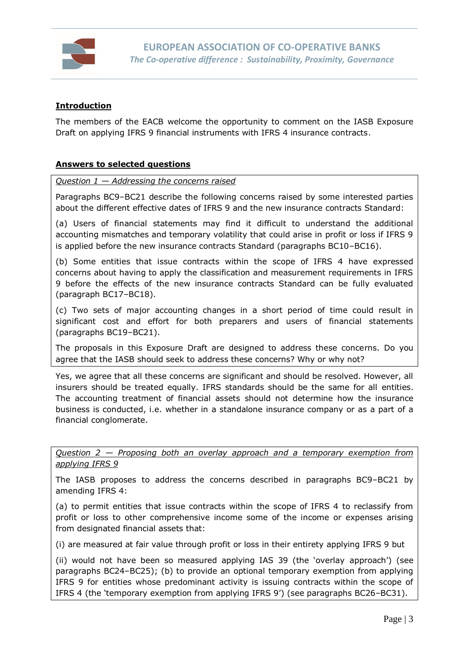

# **Introduction**

The members of the EACB welcome the opportunity to comment on the IASB Exposure Draft on applying IFRS 9 financial instruments with IFRS 4 insurance contracts.

# **Answers to selected questions**

*Question 1 — Addressing the concerns raised*

Paragraphs BC9–BC21 describe the following concerns raised by some interested parties about the different effective dates of IFRS 9 and the new insurance contracts Standard:

(a) Users of financial statements may find it difficult to understand the additional accounting mismatches and temporary volatility that could arise in profit or loss if IFRS 9 is applied before the new insurance contracts Standard (paragraphs BC10–BC16).

(b) Some entities that issue contracts within the scope of IFRS 4 have expressed concerns about having to apply the classification and measurement requirements in IFRS 9 before the effects of the new insurance contracts Standard can be fully evaluated (paragraph BC17–BC18).

(c) Two sets of major accounting changes in a short period of time could result in significant cost and effort for both preparers and users of financial statements (paragraphs BC19–BC21).

The proposals in this Exposure Draft are designed to address these concerns. Do you agree that the IASB should seek to address these concerns? Why or why not?

Yes, we agree that all these concerns are significant and should be resolved. However, all insurers should be treated equally. IFRS standards should be the same for all entities. The accounting treatment of financial assets should not determine how the insurance business is conducted, i.e. whether in a standalone insurance company or as a part of a financial conglomerate.

*Question 2 — Proposing both an overlay approach and a temporary exemption from applying IFRS 9*

The IASB proposes to address the concerns described in paragraphs BC9–BC21 by amending IFRS 4:

(a) to permit entities that issue contracts within the scope of IFRS 4 to reclassify from profit or loss to other comprehensive income some of the income or expenses arising from designated financial assets that:

(i) are measured at fair value through profit or loss in their entirety applying IFRS 9 but

(ii) would not have been so measured applying IAS 39 (the 'overlay approach') (see paragraphs BC24–BC25); (b) to provide an optional temporary exemption from applying IFRS 9 for entities whose predominant activity is issuing contracts within the scope of IFRS 4 (the 'temporary exemption from applying IFRS 9') (see paragraphs BC26–BC31).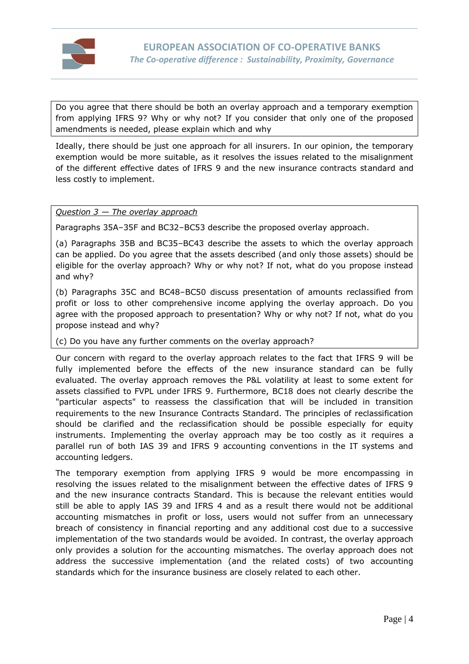

Do you agree that there should be both an overlay approach and a temporary exemption from applying IFRS 9? Why or why not? If you consider that only one of the proposed amendments is needed, please explain which and why

Ideally, there should be just one approach for all insurers. In our opinion, the temporary exemption would be more suitable, as it resolves the issues related to the misalignment of the different effective dates of IFRS 9 and the new insurance contracts standard and less costly to implement.

# *Question 3 — The overlay approach*

Paragraphs 35A–35F and BC32–BC53 describe the proposed overlay approach.

(a) Paragraphs 35B and BC35–BC43 describe the assets to which the overlay approach can be applied. Do you agree that the assets described (and only those assets) should be eligible for the overlay approach? Why or why not? If not, what do you propose instead and why?

(b) Paragraphs 35C and BC48–BC50 discuss presentation of amounts reclassified from profit or loss to other comprehensive income applying the overlay approach. Do you agree with the proposed approach to presentation? Why or why not? If not, what do you propose instead and why?

(c) Do you have any further comments on the overlay approach?

Our concern with regard to the overlay approach relates to the fact that IFRS 9 will be fully implemented before the effects of the new insurance standard can be fully evaluated. The overlay approach removes the P&L volatility at least to some extent for assets classified to FVPL under IFRS 9. Furthermore, BC18 does not clearly describe the "particular aspects" to reassess the classification that will be included in transition requirements to the new Insurance Contracts Standard. The principles of reclassification should be clarified and the reclassification should be possible especially for equity instruments. Implementing the overlay approach may be too costly as it requires a parallel run of both IAS 39 and IFRS 9 accounting conventions in the IT systems and accounting ledgers.

The temporary exemption from applying IFRS 9 would be more encompassing in resolving the issues related to the misalignment between the effective dates of IFRS 9 and the new insurance contracts Standard. This is because the relevant entities would still be able to apply IAS 39 and IFRS 4 and as a result there would not be additional accounting mismatches in profit or loss, users would not suffer from an unnecessary breach of consistency in financial reporting and any additional cost due to a successive implementation of the two standards would be avoided. In contrast, the overlay approach only provides a solution for the accounting mismatches. The overlay approach does not address the successive implementation (and the related costs) of two accounting standards which for the insurance business are closely related to each other.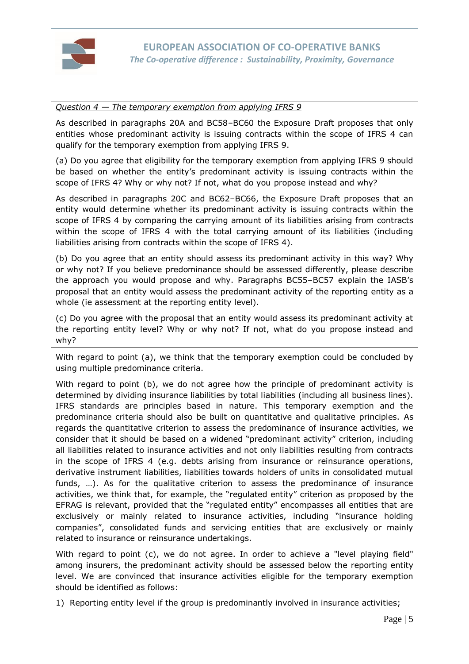

### *Question 4 — The temporary exemption from applying IFRS 9*

As described in paragraphs 20A and BC58–BC60 the Exposure Draft proposes that only entities whose predominant activity is issuing contracts within the scope of IFRS 4 can qualify for the temporary exemption from applying IFRS 9.

(a) Do you agree that eligibility for the temporary exemption from applying IFRS 9 should be based on whether the entity's predominant activity is issuing contracts within the scope of IFRS 4? Why or why not? If not, what do you propose instead and why?

As described in paragraphs 20C and BC62–BC66, the Exposure Draft proposes that an entity would determine whether its predominant activity is issuing contracts within the scope of IFRS 4 by comparing the carrying amount of its liabilities arising from contracts within the scope of IFRS 4 with the total carrying amount of its liabilities (including liabilities arising from contracts within the scope of IFRS 4).

(b) Do you agree that an entity should assess its predominant activity in this way? Why or why not? If you believe predominance should be assessed differently, please describe the approach you would propose and why. Paragraphs BC55–BC57 explain the IASB's proposal that an entity would assess the predominant activity of the reporting entity as a whole (ie assessment at the reporting entity level).

(c) Do you agree with the proposal that an entity would assess its predominant activity at the reporting entity level? Why or why not? If not, what do you propose instead and why?

With regard to point (a), we think that the temporary exemption could be concluded by using multiple predominance criteria.

With regard to point (b), we do not agree how the principle of predominant activity is determined by dividing insurance liabilities by total liabilities (including all business lines). IFRS standards are principles based in nature. This temporary exemption and the predominance criteria should also be built on quantitative and qualitative principles. As regards the quantitative criterion to assess the predominance of insurance activities, we consider that it should be based on a widened "predominant activity" criterion, including all liabilities related to insurance activities and not only liabilities resulting from contracts in the scope of IFRS 4 (e.g. debts arising from insurance or reinsurance operations, derivative instrument liabilities, liabilities towards holders of units in consolidated mutual funds, …). As for the qualitative criterion to assess the predominance of insurance activities, we think that, for example, the "regulated entity" criterion as proposed by the EFRAG is relevant, provided that the "regulated entity" encompasses all entities that are exclusively or mainly related to insurance activities, including "insurance holding companies", consolidated funds and servicing entities that are exclusively or mainly related to insurance or reinsurance undertakings.

With regard to point (c), we do not agree. In order to achieve a "level playing field" among insurers, the predominant activity should be assessed below the reporting entity level. We are convinced that insurance activities eligible for the temporary exemption should be identified as follows:

1) Reporting entity level if the group is predominantly involved in insurance activities;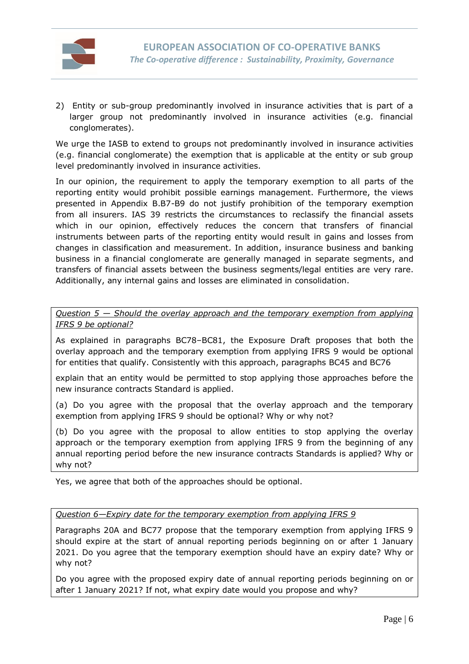

2) Entity or sub-group predominantly involved in insurance activities that is part of a larger group not predominantly involved in insurance activities (e.g. financial conglomerates).

We urge the IASB to extend to groups not predominantly involved in insurance activities (e.g. financial conglomerate) the exemption that is applicable at the entity or sub group level predominantly involved in insurance activities.

In our opinion, the requirement to apply the temporary exemption to all parts of the reporting entity would prohibit possible earnings management. Furthermore, the views presented in Appendix B.B7-B9 do not justify prohibition of the temporary exemption from all insurers. IAS 39 restricts the circumstances to reclassify the financial assets which in our opinion, effectively reduces the concern that transfers of financial instruments between parts of the reporting entity would result in gains and losses from changes in classification and measurement. In addition, insurance business and banking business in a financial conglomerate are generally managed in separate segments, and transfers of financial assets between the business segments/legal entities are very rare. Additionally, any internal gains and losses are eliminated in consolidation.

*Question 5 — Should the overlay approach and the temporary exemption from applying IFRS 9 be optional?*

As explained in paragraphs BC78–BC81, the Exposure Draft proposes that both the overlay approach and the temporary exemption from applying IFRS 9 would be optional for entities that qualify. Consistently with this approach, paragraphs BC45 and BC76

explain that an entity would be permitted to stop applying those approaches before the new insurance contracts Standard is applied.

(a) Do you agree with the proposal that the overlay approach and the temporary exemption from applying IFRS 9 should be optional? Why or why not?

(b) Do you agree with the proposal to allow entities to stop applying the overlay approach or the temporary exemption from applying IFRS 9 from the beginning of any annual reporting period before the new insurance contracts Standards is applied? Why or why not?

Yes, we agree that both of the approaches should be optional.

*Question 6—Expiry date for the temporary exemption from applying IFRS 9*

Paragraphs 20A and BC77 propose that the temporary exemption from applying IFRS 9 should expire at the start of annual reporting periods beginning on or after 1 January 2021. Do you agree that the temporary exemption should have an expiry date? Why or why not?

Do you agree with the proposed expiry date of annual reporting periods beginning on or after 1 January 2021? If not, what expiry date would you propose and why?